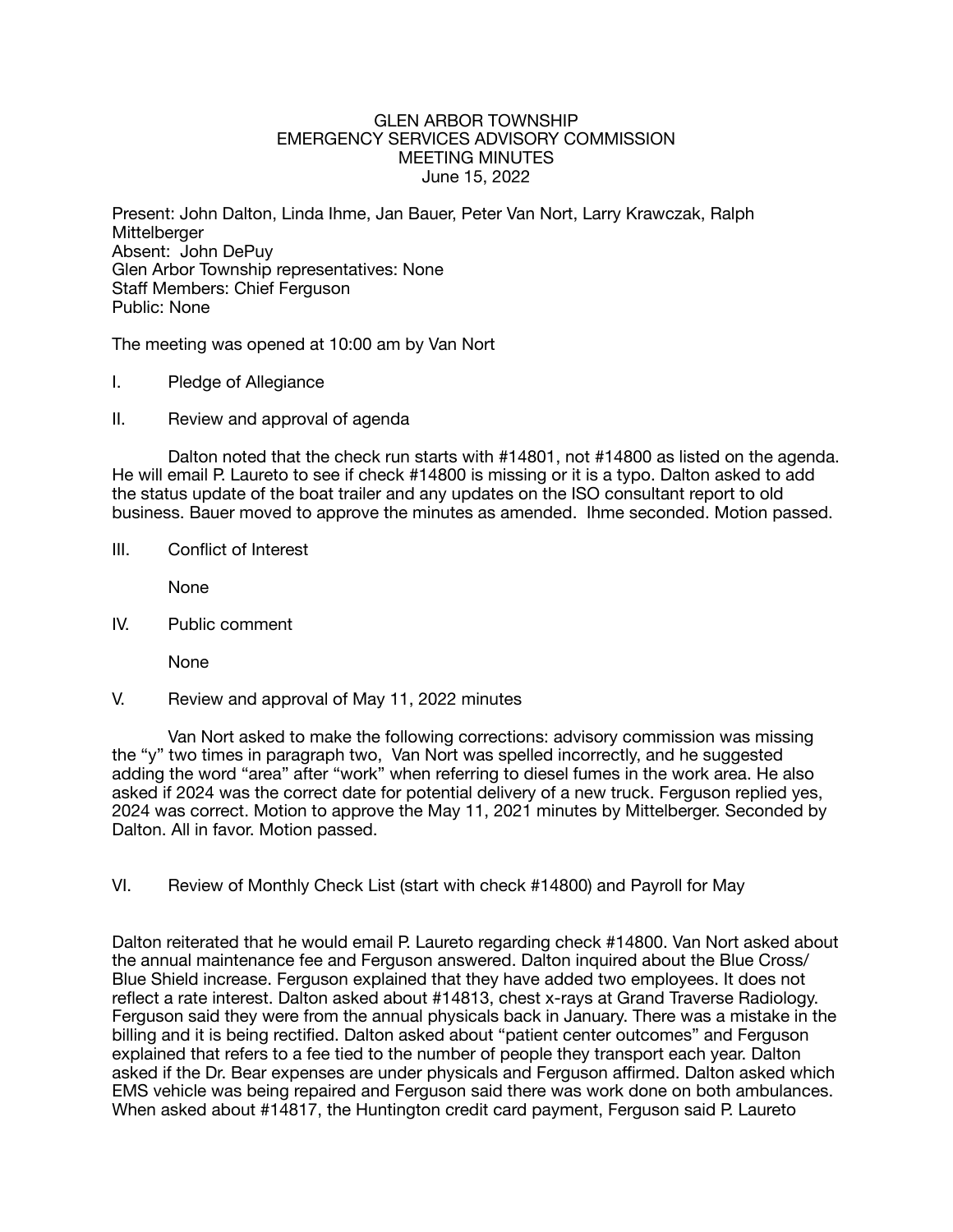### GLEN ARBOR TOWNSHIP EMERGENCY SERVICES ADVISORY COMMISSION MEETING MINUTES June 15, 2022

Present: John Dalton, Linda Ihme, Jan Bauer, Peter Van Nort, Larry Krawczak, Ralph **Mittelberger** Absent: John DePuy Glen Arbor Township representatives: None Staff Members: Chief Ferguson Public: None

The meeting was opened at 10:00 am by Van Nort

- I. Pledge of Allegiance
- II. Review and approval of agenda

Dalton noted that the check run starts with #14801, not #14800 as listed on the agenda. He will email P. Laureto to see if check #14800 is missing or it is a typo. Dalton asked to add the status update of the boat trailer and any updates on the ISO consultant report to old business. Bauer moved to approve the minutes as amended. Ihme seconded. Motion passed.

III. Conflict of Interest

None

IV. Public comment 

None

V. Review and approval of May 11, 2022 minutes

Van Nort asked to make the following corrections: advisory commission was missing the "y" two times in paragraph two, Van Nort was spelled incorrectly, and he suggested adding the word "area" after "work" when referring to diesel fumes in the work area. He also asked if 2024 was the correct date for potential delivery of a new truck. Ferguson replied yes, 2024 was correct. Motion to approve the May 11, 2021 minutes by Mittelberger. Seconded by Dalton. All in favor. Motion passed.

VI. Review of Monthly Check List (start with check #14800) and Payroll for May

Dalton reiterated that he would email P. Laureto regarding check #14800. Van Nort asked about the annual maintenance fee and Ferguson answered. Dalton inquired about the Blue Cross/ Blue Shield increase. Ferguson explained that they have added two employees. It does not reflect a rate interest. Dalton asked about #14813, chest x-rays at Grand Traverse Radiology. Ferguson said they were from the annual physicals back in January. There was a mistake in the billing and it is being rectified. Dalton asked about "patient center outcomes" and Ferguson explained that refers to a fee tied to the number of people they transport each year. Dalton asked if the Dr. Bear expenses are under physicals and Ferguson affirmed. Dalton asked which EMS vehicle was being repaired and Ferguson said there was work done on both ambulances. When asked about #14817, the Huntington credit card payment, Ferguson said P. Laureto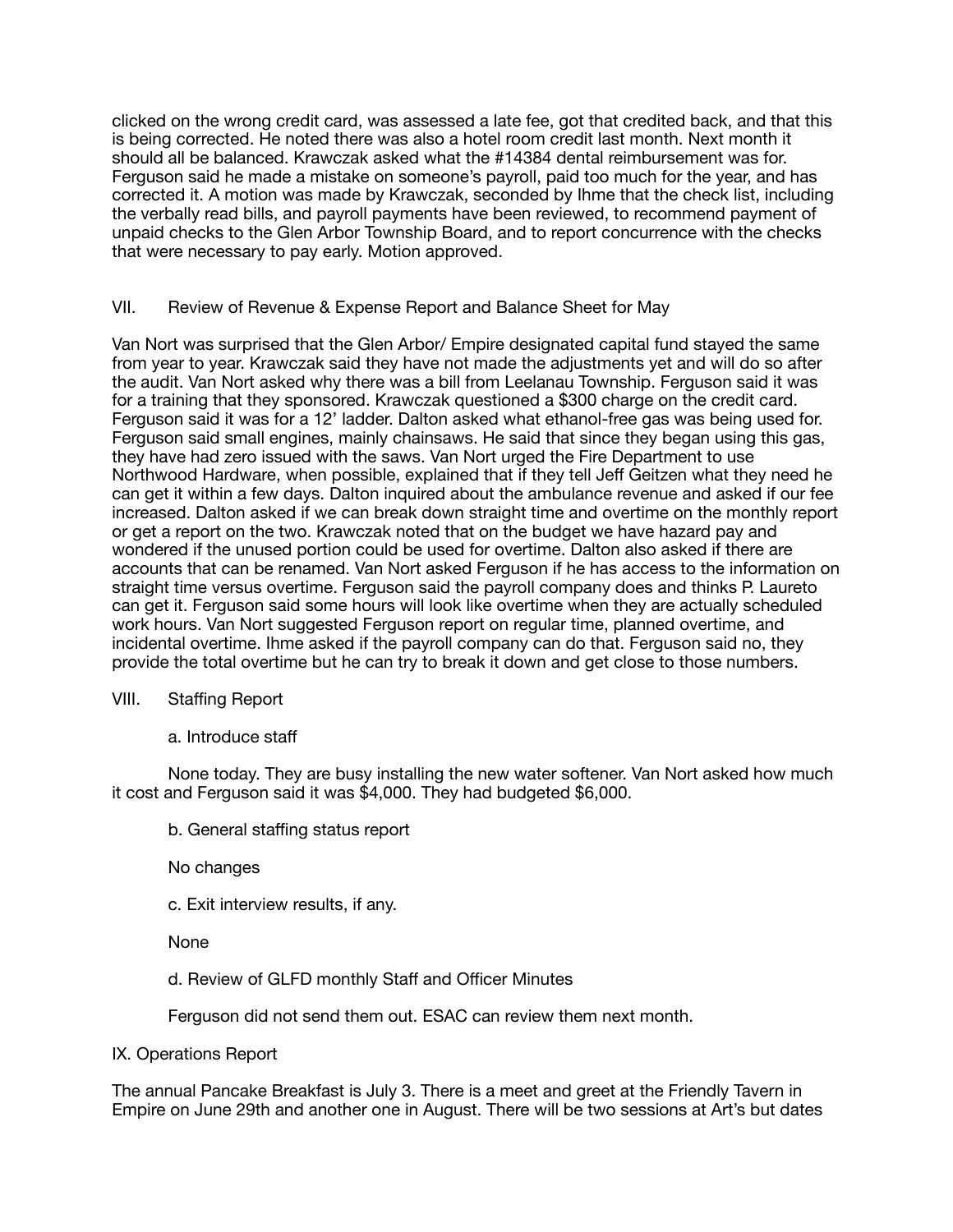clicked on the wrong credit card, was assessed a late fee, got that credited back, and that this is being corrected. He noted there was also a hotel room credit last month. Next month it should all be balanced. Krawczak asked what the #14384 dental reimbursement was for. Ferguson said he made a mistake on someone's payroll, paid too much for the year, and has corrected it. A motion was made by Krawczak, seconded by Ihme that the check list, including the verbally read bills, and payroll payments have been reviewed, to recommend payment of unpaid checks to the Glen Arbor Township Board, and to report concurrence with the checks that were necessary to pay early. Motion approved.

# VII. Review of Revenue & Expense Report and Balance Sheet for May

Van Nort was surprised that the Glen Arbor/ Empire designated capital fund stayed the same from year to year. Krawczak said they have not made the adjustments yet and will do so after the audit. Van Nort asked why there was a bill from Leelanau Township. Ferguson said it was for a training that they sponsored. Krawczak questioned a \$300 charge on the credit card. Ferguson said it was for a 12' ladder. Dalton asked what ethanol-free gas was being used for. Ferguson said small engines, mainly chainsaws. He said that since they began using this gas, they have had zero issued with the saws. Van Nort urged the Fire Department to use Northwood Hardware, when possible, explained that if they tell Jeff Geitzen what they need he can get it within a few days. Dalton inquired about the ambulance revenue and asked if our fee increased. Dalton asked if we can break down straight time and overtime on the monthly report or get a report on the two. Krawczak noted that on the budget we have hazard pay and wondered if the unused portion could be used for overtime. Dalton also asked if there are accounts that can be renamed. Van Nort asked Ferguson if he has access to the information on straight time versus overtime. Ferguson said the payroll company does and thinks P. Laureto can get it. Ferguson said some hours will look like overtime when they are actually scheduled work hours. Van Nort suggested Ferguson report on regular time, planned overtime, and incidental overtime. Ihme asked if the payroll company can do that. Ferguson said no, they provide the total overtime but he can try to break it down and get close to those numbers.

# VIII. Staffing Report

# a. Introduce staff

None today. They are busy installing the new water softener. Van Nort asked how much it cost and Ferguson said it was \$4,000. They had budgeted \$6,000.

b. General staffing status report

No changes

c. Exit interview results, if any.

None

d. Review of GLFD monthly Staff and Officer Minutes

Ferguson did not send them out. ESAC can review them next month.

IX. Operations Report

The annual Pancake Breakfast is July 3. There is a meet and greet at the Friendly Tavern in Empire on June 29th and another one in August. There will be two sessions at Art's but dates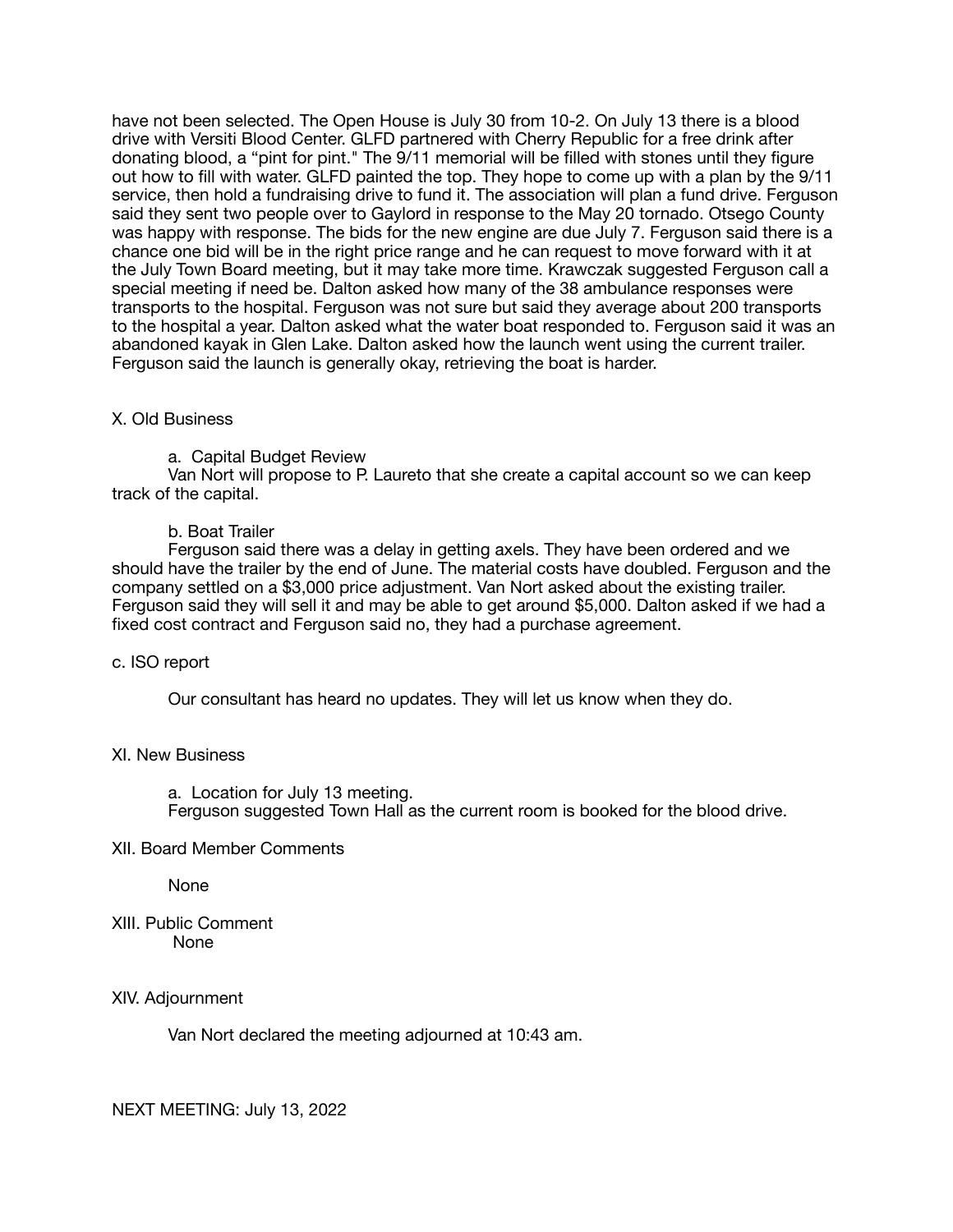have not been selected. The Open House is July 30 from 10-2. On July 13 there is a blood drive with Versiti Blood Center. GLFD partnered with Cherry Republic for a free drink after donating blood, a "pint for pint." The 9/11 memorial will be filled with stones until they figure out how to fill with water. GLFD painted the top. They hope to come up with a plan by the 9/11 service, then hold a fundraising drive to fund it. The association will plan a fund drive. Ferguson said they sent two people over to Gaylord in response to the May 20 tornado. Otsego County was happy with response. The bids for the new engine are due July 7. Ferguson said there is a chance one bid will be in the right price range and he can request to move forward with it at the July Town Board meeting, but it may take more time. Krawczak suggested Ferguson call a special meeting if need be. Dalton asked how many of the 38 ambulance responses were transports to the hospital. Ferguson was not sure but said they average about 200 transports to the hospital a year. Dalton asked what the water boat responded to. Ferguson said it was an abandoned kayak in Glen Lake. Dalton asked how the launch went using the current trailer. Ferguson said the launch is generally okay, retrieving the boat is harder.

### X. Old Business

a. Capital Budget Review

Van Nort will propose to P. Laureto that she create a capital account so we can keep track of the capital.

### b. Boat Trailer

Ferguson said there was a delay in getting axels. They have been ordered and we should have the trailer by the end of June. The material costs have doubled. Ferguson and the company settled on a \$3,000 price adjustment. Van Nort asked about the existing trailer. Ferguson said they will sell it and may be able to get around \$5,000. Dalton asked if we had a fixed cost contract and Ferguson said no, they had a purchase agreement.

### c. ISO report

Our consultant has heard no updates. They will let us know when they do.

### XI. New Business

a. Location for July 13 meeting. Ferguson suggested Town Hall as the current room is booked for the blood drive.

### XII. Board Member Comments

None

XIII. Public Comment None

### XIV. Adjournment

Van Nort declared the meeting adjourned at 10:43 am.

NEXT MEETING: July 13, 2022